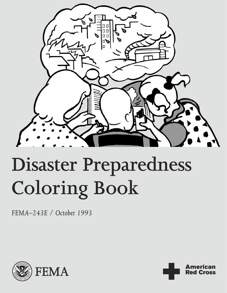

# **Disaster Preparedness Coloring Book 243E** / October 1993

**American Red Cross** 

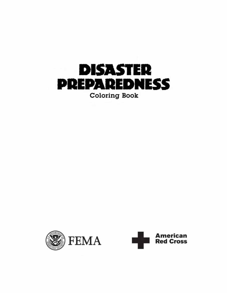



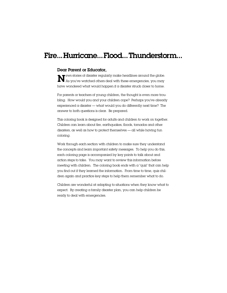### Fire... Hurricane... Flood... Thunderstorm...

### Dear Parent or Educator,

 $\mathbf N$  ews stories of disaster regularly make headlines around the globe.<br>As you've watched others deal with these emergencies, you may As you've watched others deal with these emergencies, you may have wondered what would happen if a disaster struck closer to home.

For parents or teachers of young children, the thought is even more troubling. How would you and your children cope? Perhaps you've already experienced a disaster — what would you do differently next time? The answer to both questions is clear. Be prepared.

This coloring book is designed for adults and children to work on together. Children can learn about fire, earthquakes, floods, tornados and other disasters, as well as how to protect themselves — all while having fun coloring.

Work through each section with children to make sure they understand the concepts and learn important safety messages. To help you do this, each coloring page is accompanied by key points to talk about and action steps to take. You may want to review this information before meeting with children. The coloring book ends with a "quiz" that can help you find out if they learned the information. From time to time, quiz children again and practice key steps to help them remember what to do.

Children are wonderful at adapting to situations when they know what to expect. By creating a family disaster plan, you can help children be ready to deal with emergencies.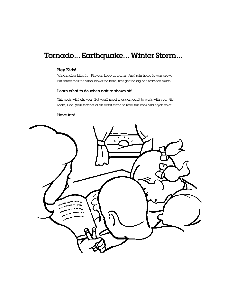### Tornado... Earthquake... Winter Storm...

### Hey Kids!

Wind makes kites fly. Fire can keep us warm. And rain helps flowers grow. But sometimes the wind blows too hard, fires get too big or it rains too much.

### Learn what to do when nature shows off!

This book will help you. But you'll need to ask an adult to work with you. Get Mom, Dad, your teacher or an adult friend to read this book while you color.

### Have fun!

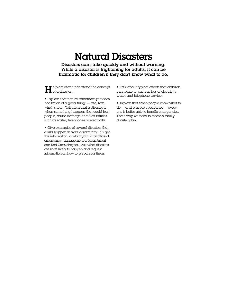# Natural Disasters

Disasters can strike quickly and without warning. While  $\alpha$  disaster is frightening for adults, it can be traumatic for children if they don't know what to do.

elp children understand the concept  $\blacksquare$  and  $\blacksquare$  elp children u<br>and  $\blacksquare$  of a disaster...

• Explain that nature sometimes provides "too much of a good thing" — fire, rain, wind, snow. Tell them that a disaster is when something happens that could hurt people, cause damage or cut off utilities such as water, telephones or electricity.

• Give examples of several disasters that could happen in your community. To get this information, contact your local office of emergency management or local American Red Cross chapter. Ask what disasters are most likely to happen and request information on how to prepare for them.

• Talk about typical effects that children can relate to, such as loss of electricity, water and telephone service.

• Explain that when people know what to do — and practice in advance — everyone is better able to handle emergencies. That's why we need to create a family disaster plan.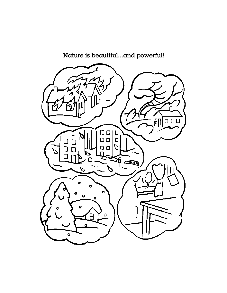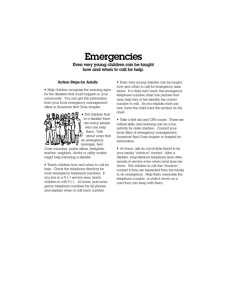## **Emergencies**

Even very young children can be taught how and when to call for help.

### Action Steps for Adults

• Help children recognize the warning signs for the disasters that could happen in your community. You can get this information from your local emergency management office or American Red Cross chapter.



• Tell children that in a disaster there are many people who can help them. Talk about ways that an emergency manager, Red

Cross volunteer, police officer, firefighter, teacher, neighbor, doctor or utility worker might help following a disaster.

• Teach children how and when to call for help. Check the telephone directory for local emergency telephone numbers. If you live in a 9-1-1 service area, teach children to call 9-1-1. At home, post emergency telephone numbers by all phones and explain when to call each number.

• Even very young children can be taught how and when to call for emergency assistance. If a child can't read, this emergency telephone number chart has pictures that may help him or her identify the correct number to call. As you explain each picture, have the child color the symbol on the chart.

• Take a first aid and CPR course. These are critical skills, and learning can be a fun activity for older children. Contact your local office of emergency management, American Red Cross chapter or hospital for information.

• At home, ask an out-of-state friend to be your family "check-in" contact. After a disaster, long-distance telephone lines often remain in service even when local lines are down. Tell children to call this "check-in" contact if they are separated from the family in an emergency. Help them memorize the telephone number, or write it down on a card they can keep with them.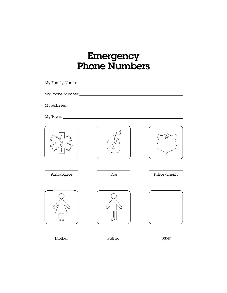# Emergency Phone Numbers

|           |        | ☆              |
|-----------|--------|----------------|
| Ambulance | Fire   | Police/Sheriff |
|           |        |                |
| Mother    | Father | Other          |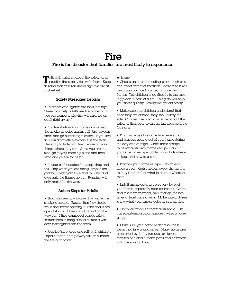### Fire

### Fire is the disaster that families are most likely to experience.

At home:

**a** calk with children about fire safety, and practice these activities with them. Kee **L** practice these activities with them. Keep in mind that children under age five are at highest risk.

#### Safety Messages for Kids

• "Matches and lighters are tools, not toys. These tools help adults use fire properly. If you see someone playing with fire, tell an adult right away."

 $\blacksquare$  "If a fire starts in your home or you hear the smoke detector alarm, yell 'Fire!' several times and go outside right away. If you live in  $\alpha$  building with elevators, use the stairs. Never try to hide from fire. Leave all your things where they are. Once you are outside, go to your meeting place and then send one person for help."

• "If your clothes catch fire...stop, drop and roll. Stop what you are doing, drop to the ground, cover your face and roll over and over until the flames go out. Running will only make the fire worse."

#### Action Steps for Adults

• Show children how to crawl low, under the smoke to escape. Explain that they should  $fee$ l a door before opening it. If the door is cool, open it slowly. If the door is hot, find another way out. If they cannot get outside safely, instruct them to hang a sheet outside a window so firefighters can find them.

• Practice "stop, drop and roll" with children. Explain that running away will only make the fire burn faster.

 $\blacksquare$  Choose an outside meeting place, such as a tree, street corner or mailbox. Make sure it will be a safe distance from heat, smoke and flames. Tell children to go directly to this meeting place in case of a fire. This plan will help you know quickly if everyone got out safely.

• Make sure that children understand that once they are outside, they should stay outside. Children are often concerned about the safety of their pets, so discuss this issue before  $\alpha$ fire starts.

• Find two ways to escape from every room and practice getting out of your home during the day and at night. Chart these escape routes on your own "home escape plan." If you have an escape ladder, show kids where it's kept and how to use it.

• Practice your home escape plan at least twice a year. Quiz children every six months so they'll remember what to do and where to meet.

• Install smoke detectors on every level of your home, especially near bedrooms. Clean and test them monthly, and change the batteries at least once a year. Make sure children know what your smoke detector sounds like.

• Check electrical wiring in your home. Fix frayed extension cords, exposed wires or loose plugs.

• Make sure your home heating source is clean and in working order. Many home fires are started by faulty furnaces or stoves, cracked or rusted furnace parts and chimneys with creosote build-up.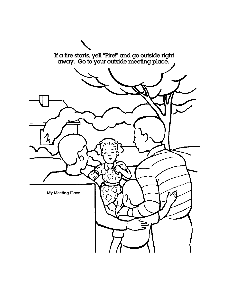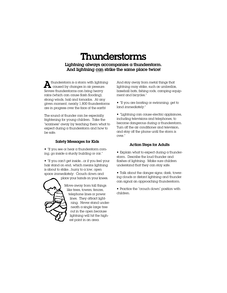# Thunderstorms

Lightning always accompanies a thunderstorm. And lightning can strike the same place twice!

 thunderstorm is a storm with lightning  $\sum$  thunderstorm is a storm with lightning caused by changes in air pressure. Severe thunderstorms can bring heavy rains (which can cause flash flooding), strong winds, hail and tornados. At any given moment, nearly 1,800 thunderstorms are in progress over the face of the earth!

The sound of thunder can be especially frightening for young children. Take the "scariness" away by teaching them what to expect during a thunderstorm and how to be safe.

#### Safety Messages for Kids

 $\blacksquare$  "If you see or hear a thunderstorm coming, go inside a sturdy building or  $c$ ar."

• "If you can't get inside...or if you feel your hair stand on end, which means lightning is about to strike...hurry to a low, open space *immediately*. Crouch down and

place your hands on your knees.



Move away from tall things like trees, towers, fences, telephone lines or power lines. They attract lightning. Never stand underneath a single large tree out in the open because lightning will hit the highest point in an area.

And stay away from metal things that lightning may strike, such as umbrellas, baseball bats, fishing rods, camping equipment and bicycles."

• "If you are boating or swimming, get to land *immediately.*"

• "Lightning can cause electric appliances, including televisions and telephones, to become dangerous during a thunderstorm. Turn off the air conditioner and television, and stay off the phone until the storm is over."

#### Action Steps for Adults

 $\blacksquare$  Explain what to expect during a thunderstorm. Describe the loud thunder and flashes of lightning. Make sure children understand that they can stay safe.

• Talk about the danger signs; dark, towering clouds or distant lightning and thunder can signal an approaching thunderstorm.

• Practice the "crouch down" position with children.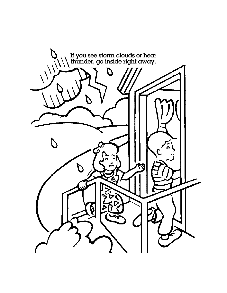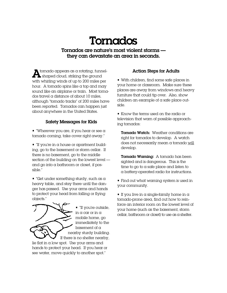# Tornados

Tornados are nature's most violent storms they can devastate an area in seconds.

tornado appears as a rotating, funnel- $\sum_{n=1}^{\infty} \text{smooth appears as a rotating, funr.}$ with whirling winds of up to 200 miles per hour. A tornado spins like a top and may sound like an airplane or train. Most tornados travel a distance of about 10 miles, although "tornado tracks" of 200 miles have been reported. Tornados can happen just about anywhere in the United States.

### Safety Messages for Kids

 $\blacksquare$  "Wherever you are, if you hear or see a tornado coming, take cover right away."

 $\blacksquare$  "If you're in a house or apartment building, go to the basement or storm cellar. If there is no basement, go to the middle section of the building on the lowest level and go into a bathroom or closet, if possible."

 $\blacksquare$  "Get under something sturdy, such as a heavy table, and stay there until the danger has passed. Use your arms and hands to protect your head from falling or flying objects."

**•** "If you're outside, in a car or in a mobile home, go immediately to the basement of a nearby sturdy building. If there is no shelter nearby,

lie flat in a low spot. Use your arms and hands to protect your head. If you hear or see water, move quickly to another spot."

### Action Steps for Adults

• With children, find some safe places in your home or classroom. Make sure these places are away from windows and heavy furniture that could tip over. Also, show children an example of a safe place outside.

• Know the terms used on the radio or television that warn of possible approaching tornados:

Tornado Watch: Weather conditions are right for tornados to develop. A watch does not necessarily mean a tornado will develop.

Tornado Warning: A tornado has been sighted and is dangerous. This is the time to go to a safe place and listen to a battery-operated radio for instructions.

• Find out what warning system is used in your community.

 $\blacksquare$  If you live in a single-family home in a tornado-prone area, find out how to reinforce an interior room on the lowest level of your home (such as the basement, storm cellar, bathroom or closet) to use as a shelter.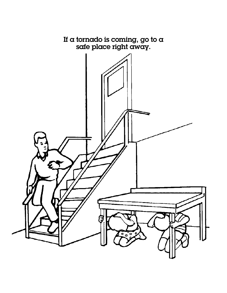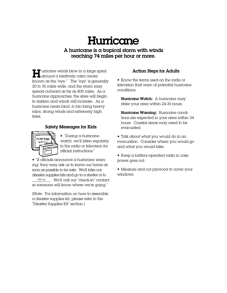# **Hurricane**

A hurricane is a tropical storm with winds reaching 74 miles per hour or more.

 $\blacksquare$  urricane winds blow in a large spiral  $\blacksquare$  around a relatively calm center known as the "eye." The "eye" is generally 20 to 30 miles wide, and the storm may spread outward as far as 400 miles. As a hurricane approaches, the skies will begin to darken and winds will increase. As a hurricane nears land, it can bring heavy rains, strong winds and extremely high tides.

### Safety Messages for Kids



• "During a hurricane *watch,* we'll listen regularly to the radio or television for official instructions."

• "If officials announce a hurricane *warning*, they may ask us to leave our home as soon as possible to be safe. We'll take our disaster supplies kits and go to a shelter or to \_\_\_\_\_\_\_\_\_\_. We'll call our "check-in" contact *(fill in)*so someone will know where we're going."

(Note: For information on how to assemble a disaster supplies kit, please refer to the "Disaster Supplies Kit" section.)

### Action Steps for Adults

• Know the terms used on the radio or television that warn of potential hurricane conditions:

Hurricane Watch: A hurricane *may* strike your area within 24-36 hours.

Hurricane Warning: Hurricane conditions are expected in your area within 24 hours. Coastal areas may need to be evacuated.

• Talk about what you would do in an evacuation. Consider where you would go and what you would take.

• Keep a battery-operated radio in case power goes out.

• Measure and cut plywood to cover your windows.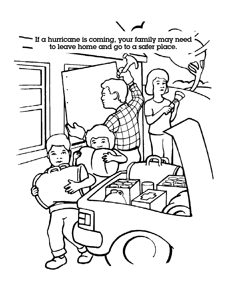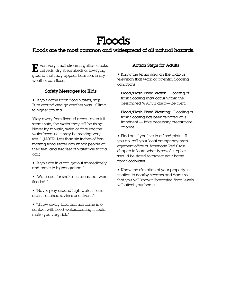# Floods

### Floods are the most common and widespread of all natural hazards.

 $\blacksquare$  ven very small streams, gullies, creeks, The vent very small streams, gullies, creek<br>
The culverts, dry streambeds or low-lying ground that may appear harmless in dry weather can flood.

### Safety Messages for Kids

• "If you come upon flood waters, stop. Turn around and go another way. Climb to higher ground."

"Stay away from flooded areas...even if it seems safe, the water may still be rising. Never try to walk, swim or dive into the water because it may be moving very fast." (NOTE: Less than six inches of fastmoving flood water can knock people off their feet, and two feet of water will float  $\alpha$ car.)

 $\blacksquare$  "If you are in a car, get out immediately and move to higher ground."

• "Watch out for snakes in areas that were flooded."

• "Never play around high water, storm drains, ditches, ravines or culverts."

• "Throw away food that has come into contact with flood waters...eating it could make you very sick."

### Action Steps for Adults

• Know the terms used on the radio or television that warn of potential flooding conditions:

Flood/Flash Flood Watch: Flooding or flash flooding may occur within the designated WATCH area — be alert.

Flood/Flash Flood Warning: Flooding or flash flooding has been reported or is imminent — take necessary precautions at once.

 $\blacksquare$  Find out if you live in a flood plain. If you do, call your local emergency management office or American Red Cross chapter to learn what types of supplies should be stored to protect your home from floodwater.

• Know the elevation of your property in relation to nearby streams and dams so that you will know if forecasted flood levels will affect your home.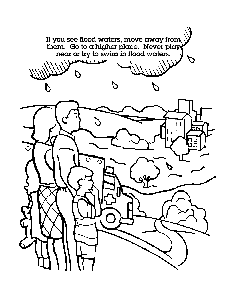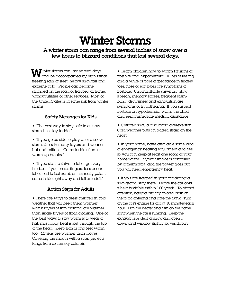# Winter Storms

### A winter storm can range from several inches of snow over a few hours to blizzard conditions that last several days.

inter storms can last several days  $\mathbf W$ inter storms can last several days and be accompanied by high winds, freezing rain or sleet, heavy snowfall and extreme cold. People can become stranded on the road or trapped at home, without utilities or other services. Most of the United States is at some risk from winter storms.

### Safety Messages for Kids

 $\blacksquare$  "The best way to stay safe in a snowstorm is to stay inside."

• "If you go outside to play after a snowstorm, dress in many layers and wear a hat and mittens. Come inside often for warm-up breaks."

 $\blacksquare$  "If you start to shiver a lot or get very tired...or if your nose, fingers, toes or ear lobes start to feel numb or turn really pale… come inside right away and tell an adult."

### Action Steps for Adults

• There are ways to dress children in cold weather that will keep them warmer. Many layers of thin clothing are warmer than single layers of thick clothing. One of the best ways to stay warm is to wear a hat; most body heat is lost through the top of the head. Keep hands and feet warm too. Mittens are warmer than gloves. Covering the mouth with a scarf protects lungs from extremely cold air.

• Teach children how to watch for signs of frostbite and hypothermia. A loss of feeling and a white or pale appearance in fingers, toes, nose or ear lobes are symptoms of frostbite. Uncontrollable shivering, slow speech, memory lapses, frequent stumbling, drowsiness and exhaustion are symptoms of hypothermia. If you suspect frostbite or hypothermia, warm the child and seek immediate medical assistance.

• Children should also avoid overexertion. Cold weather puts an added strain on the heart.

• In your home, have available some kind of emergency heating equipment and fuel so you can keep at least one room of your home warm. If your furnace is controlled by a thermostat, and the power goes out, you will need emergency heat.

 $\blacksquare$  If you are trapped in your car during a snowstorm, stay there. Leave the car only if help is visible within 100 yards. To attract attention, hang a brightly colored cloth on the radio antenna and raise the trunk. Turn on the car's engine for about 10 minutes each hour. Run the heater and turn on the dome light when the car is running. Keep the exhaust pipe clear of snow and open a downwind window slightly for ventilation.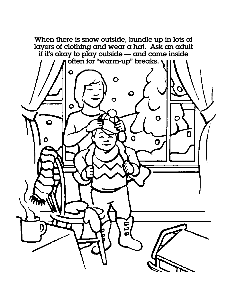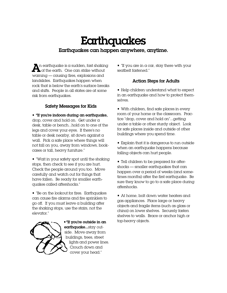# **Earthquakes** Earthquakes can happen anywhere, anytime.

 $\sum$ n earthquake is a sudden, fast shaking<br>of the earth. One can strike without of the earth. One can strike without warning — causing fires, explosions and landslides. Earthquakes happen when rock that is below the earth's surface breaks and shifts. People in all states are at some risk from earthquakes.

### Safety Messages for Kids

• "If you're indoors during an earthquake, drop, cover and hold on. Get under a desk, table or bench...hold on to one of the legs and cover your eyes. If there's no table or desk nearby, sit down against a wall. Pick a safe place where things will not fall on you, away from windows, bookcases or tall, heavy furniture."

• "Wait in your safety spot until the shaking stops, then check to see if you are hurt. Check the people around you too. Move carefully and watch out for things that have fallen. Be ready for smaller earthquakes called aftershocks."

• "Be on the lookout for fires. Earthquakes can cause fire alarms and fire sprinklers to go off. If you must leave a building after the shaking stops, use the stairs, not the elevator."

![](_page_20_Picture_6.jpeg)

•"If you're outside in an earthquake...stay outside. Move away from buildings, trees, street lights and power lines. Crouch down and cover your head."

 $\blacksquare$  "If you are in a car, stay there with your seatbelt fastened."

### Action Steps for Adults

• Help children understand what to expect in an earthquake and how to protect themselves.

• With children, find safe places in every room of your home or the classroom. Practice "drop, cover and hold on"...getting under a table or other sturdy object. Look for safe places inside and outside of other buildings where you spend time.

• Explain that it is dangerous to run outside when an earthquake happens because falling objects can hurt people.

• Tell children to be prepared for aftershocks — smaller earthquakes that can happen over a period of weeks (and sometimes months) after the first earthquake. Be sure they know to go to a safe place during aftershocks.

• At home, bolt down water heaters and gas appliances. Place large or heavy objects and fragile items (such as glass or china) on lower shelves. Securely fasten shelves to walls. Brace or anchor high or top-heavy objects.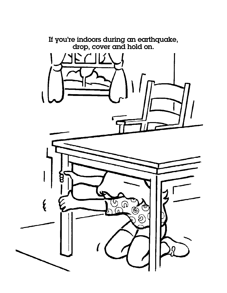![](_page_21_Picture_0.jpeg)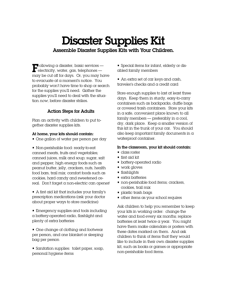### Disaster Supplies Kit Assemble Disaster Supplies Kits with Your Children.

 $\blacksquare$  ollowing a disaster, basic services —<br>electricity, water, gas, telephones —  $\blacksquare$  electricity, water, gas, telephones may be cut off for days. Or, you may have to evacuate at a moment's notice. You probably won't have time to shop or search for the supplies you'll need. Gather the supplies you'll need to deal with the situation *now*, before disaster strikes.

### Action Steps for Adults

Plan an activity with children to put together disaster supplies kits.

### At home, your kits should contain:

• One gallon of water per person per day

• Non-perishable food: ready-to-eat canned meats, fruits and vegetables; canned juices, milk and soup; sugar, salt and pepper; high energy foods such as peanut butter, jelly, crackers, nuts, health food bars, trail mix; comfort foods such as cookies, hard candy and sweetened cereal. Don't forget a non-electric can opener!

• A first aid kit that includes your family's prescription medications (ask your doctor about proper ways to store medicine)

• Emergency supplies and tools including a battery-operated radio, flashlight and plenty of extra batteries

• One change of clothing and footwear per person, and one blanket or sleeping bag per person

• Sanitation supplies: toilet paper, soap, personal hygiene items

• Special items for infant, elderly or disabled family members

• An extra set of car keys and cash, traveler's checks and a credit card

Store enough supplies to last at least three days. Keep them in sturdy, easy-to-carry containers such as backpacks, duffle bags or covered trash containers. Store your kits in a safe, convenient place known to all family members — preferably in a cool, dry, dark place. Keep a smaller version of this kit in the trunk of your car. You should also keep important family documents in a waterproof container.

### In the classroom, your kit should contain:

- class roster
- first aid kit
- battery-operated radio
- work gloves
- flashlights
- extra batteries
- non-perishable food items; crackers, cookies, trail mix
- plastic trash bags
- other items as your school requires

Ask children to help you remember to keep your kits in working order: change the water and food every six months; replace batteries at least twice a year. You might have them make calendars or posters with these dates marked on them. And ask children to think of items that they would like to include in their own disaster supplies kit, such as books or games or appropriate non-perishable food items.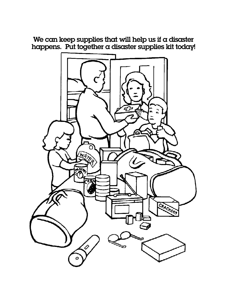We can keep supplies that will help us if a disaster happens. Put together a disaster supplies kit today!

![](_page_23_Picture_1.jpeg)